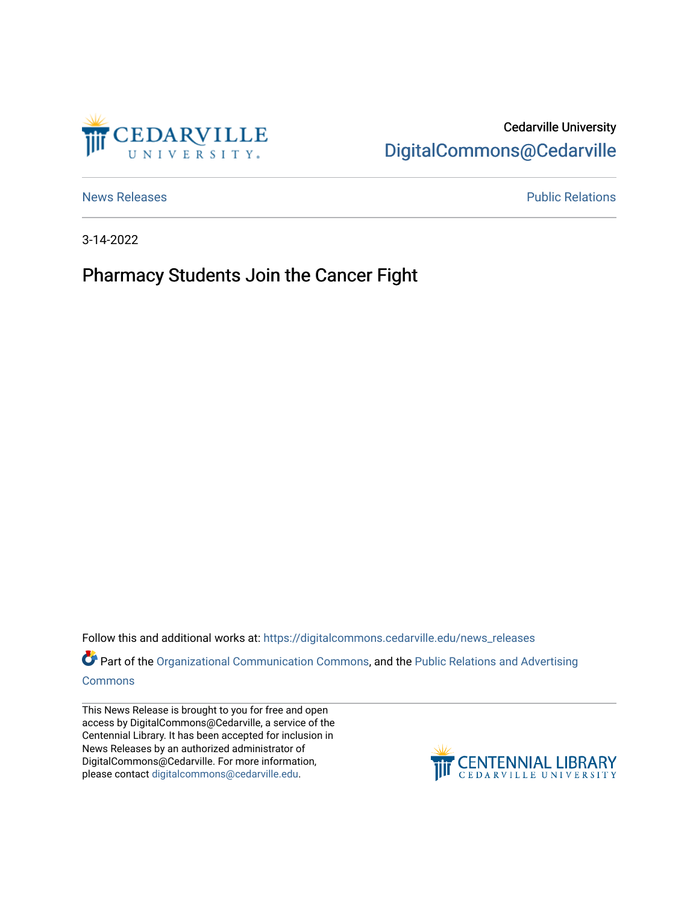

## Cedarville University [DigitalCommons@Cedarville](https://digitalcommons.cedarville.edu/)

[News Releases](https://digitalcommons.cedarville.edu/news_releases) **Public Relations Public Relations** 

3-14-2022

## Pharmacy Students Join the Cancer Fight

Follow this and additional works at: [https://digitalcommons.cedarville.edu/news\\_releases](https://digitalcommons.cedarville.edu/news_releases?utm_source=digitalcommons.cedarville.edu%2Fnews_releases%2F1517&utm_medium=PDF&utm_campaign=PDFCoverPages) 

Part of the [Organizational Communication Commons](http://network.bepress.com/hgg/discipline/335?utm_source=digitalcommons.cedarville.edu%2Fnews_releases%2F1517&utm_medium=PDF&utm_campaign=PDFCoverPages), and the Public Relations and Advertising [Commons](http://network.bepress.com/hgg/discipline/336?utm_source=digitalcommons.cedarville.edu%2Fnews_releases%2F1517&utm_medium=PDF&utm_campaign=PDFCoverPages)

This News Release is brought to you for free and open access by DigitalCommons@Cedarville, a service of the Centennial Library. It has been accepted for inclusion in News Releases by an authorized administrator of DigitalCommons@Cedarville. For more information, please contact [digitalcommons@cedarville.edu](mailto:digitalcommons@cedarville.edu).

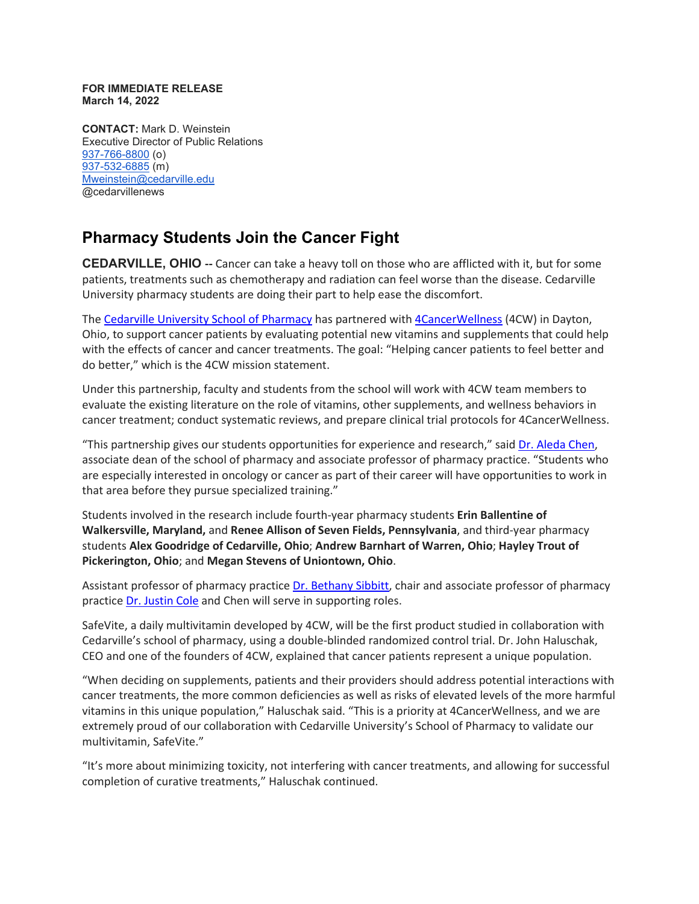## **FOR IMMEDIATE RELEASE March 14, 2022**

**CONTACT:** Mark D. Weinstein Executive Director of Public Relations [937-766-8800](tel:937-766-8800) (o) [937-532-6885](tel:937-532-6885) (m) [Mweinstein@cedarville.edu](mailto:Mweinstein@cedarville.edu) @cedarvillenews

## **Pharmacy Students Join the Cancer Fight**

**CEDARVILLE, OHIO --** Cancer can take a heavy toll on those who are afflicted with it, but for some patients, treatments such as chemotherapy and radiation can feel worse than the disease. Cedarville University pharmacy students are doing their part to help ease the discomfort.

The Cedarville [University](https://www.cedarville.edu/academic-schools-and-departments/pharmacy) School of Pharmacy has partnered with [4CancerWellness](https://www.4cancerwellness.com/) (4CW) in Dayton, Ohio, to support cancer patients by evaluating potential new vitamins and supplements that could help with the effects of cancer and cancer treatments. The goal: "Helping cancer patients to feel better and do better," which is the 4CW mission statement.

Under this partnership, faculty and students from the school will work with 4CW team members to evaluate the existing literature on the role of vitamins, other supplements, and wellness behaviors in cancer treatment; conduct systematic reviews, and prepare clinical trial protocols for 4CancerWellness.

"This partnership gives our students opportunities for experience and research," said Dr. [Aleda](https://www.cedarville.edu/academic-schools-and-departments/pharmacy/pre-pharmacy/faculty-staff/pharm-pract/chen-aleda) Chen, associate dean of the school of pharmacy and associate professor of pharmacy practice. "Students who are especially interested in oncology or cancer as part of their career will have opportunities to work in that area before they pursue specialized training."

Students involved in the research include fourth-year pharmacy students **Erin Ballentine of Walkersville, Maryland,** and **Renee Allison of Seven Fields, Pennsylvania**, and third-year pharmacy students **Alex Goodridge of Cedarville, Ohio**; **Andrew Barnhart of Warren, Ohio**; **Hayley Trout of Pickerington, Ohio**; and **Megan Stevens of Uniontown, Ohio**.

Assistant professor of pharmacy practice Dr. [Bethany](https://www.cedarville.edu/academic-schools-and-departments/pharmacy/pre-pharmacy/faculty-staff/pharm-pract/sibbitt-bethany) Sibbitt, chair and associate professor of pharmacy practice Dr. [Justin](https://www.cedarville.edu/academic-schools-and-departments/pharmacy/pre-pharmacy/faculty-staff/pharm-pract/cole-justin) Cole and Chen will serve in supporting roles.

SafeVite, a daily multivitamin developed by 4CW, will be the first product studied in collaboration with Cedarville's school of pharmacy, using a double-blinded randomized control trial. Dr. John Haluschak, CEO and one of the founders of 4CW, explained that cancer patients represent a unique population.

"When deciding on supplements, patients and their providers should address potential interactions with cancer treatments, the more common deficiencies as well as risks of elevated levels of the more harmful vitamins in this unique population," Haluschak said. "This is a priority at 4CancerWellness, and we are extremely proud of our collaboration with Cedarville University's School of Pharmacy to validate our multivitamin, SafeVite."

"It's more about minimizing toxicity, not interfering with cancer treatments, and allowing for successful completion of curative treatments," Haluschak continued.